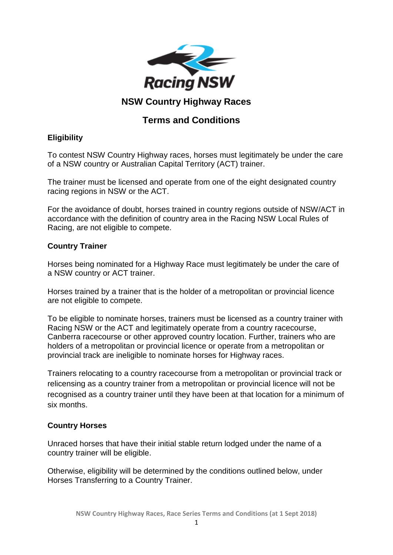

# **NSW Country Highway Races**

# **Terms and Conditions**

# **Eligibility**

To contest NSW Country Highway races, horses must legitimately be under the care of a NSW country or Australian Capital Territory (ACT) trainer.

The trainer must be licensed and operate from one of the eight designated country racing regions in NSW or the ACT.

For the avoidance of doubt, horses trained in country regions outside of NSW/ACT in accordance with the definition of country area in the Racing NSW Local Rules of Racing, are not eligible to compete.

## **Country Trainer**

Horses being nominated for a Highway Race must legitimately be under the care of a NSW country or ACT trainer.

Horses trained by a trainer that is the holder of a metropolitan or provincial licence are not eligible to compete.

To be eligible to nominate horses, trainers must be licensed as a country trainer with Racing NSW or the ACT and legitimately operate from a country racecourse, Canberra racecourse or other approved country location. Further, trainers who are holders of a metropolitan or provincial licence or operate from a metropolitan or provincial track are ineligible to nominate horses for Highway races.

Trainers relocating to a country racecourse from a metropolitan or provincial track or relicensing as a country trainer from a metropolitan or provincial licence will not be recognised as a country trainer until they have been at that location for a minimum of six months.

## **Country Horses**

Unraced horses that have their initial stable return lodged under the name of a country trainer will be eligible.

Otherwise, eligibility will be determined by the conditions outlined below, under Horses Transferring to a Country Trainer.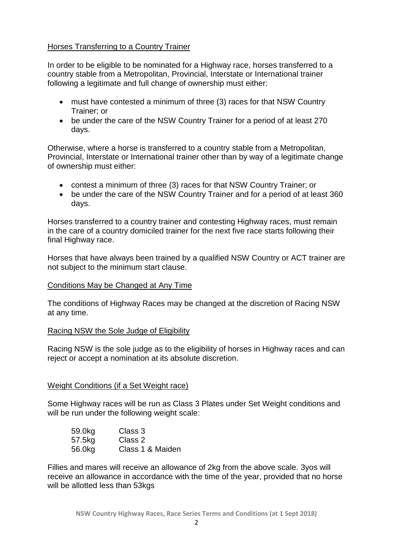## Horses Transferring to a Country Trainer

In order to be eligible to be nominated for a Highway race, horses transferred to a country stable from a Metropolitan, Provincial, Interstate or International trainer following a legitimate and full change of ownership must either:

- must have contested a minimum of three (3) races for that NSW Country Trainer; or
- be under the care of the NSW Country Trainer for a period of at least 270 days.

Otherwise, where a horse is transferred to a country stable from a Metropolitan, Provincial, Interstate or International trainer other than by way of a legitimate change of ownership must either:

- contest a minimum of three (3) races for that NSW Country Trainer; or
- be under the care of the NSW Country Trainer and for a period of at least 360 days.

Horses transferred to a country trainer and contesting Highway races, must remain in the care of a country domiciled trainer for the next five race starts following their final Highway race.

Horses that have always been trained by a qualified NSW Country or ACT trainer are not subject to the minimum start clause.

### Conditions May be Changed at Any Time

The conditions of Highway Races may be changed at the discretion of Racing NSW at any time.

### Racing NSW the Sole Judge of Eligibility

Racing NSW is the sole judge as to the eligibility of horses in Highway races and can reject or accept a nomination at its absolute discretion.

### Weight Conditions (if a Set Weight race)

Some Highway races will be run as Class 3 Plates under Set Weight conditions and will be run under the following weight scale:

| 59.0kg | Class 3          |
|--------|------------------|
| 57.5kg | Class 2          |
| 56.0kg | Class 1 & Maiden |

Fillies and mares will receive an allowance of 2kg from the above scale. 3yos will receive an allowance in accordance with the time of the year, provided that no horse will be allotted less than 53kgs